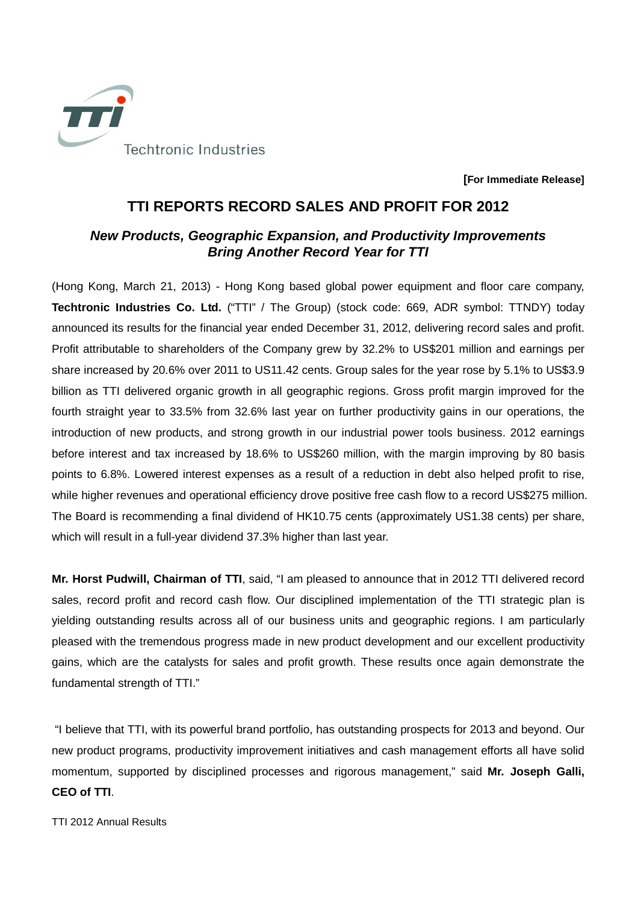

**[For Immediate Release]** 

## **TTI REPORTS RECORD SALES AND PROFIT FOR 2012**

## **New Products, Geographic Expansion, and Productivity Improvements Bring Another Record Year for TTI**

(Hong Kong, March 21, 2013) - Hong Kong based global power equipment and floor care company, **Techtronic Industries Co. Ltd.** ("TTI" / The Group) (stock code: 669, ADR symbol: TTNDY) today announced its results for the financial year ended December 31, 2012, delivering record sales and profit. Profit attributable to shareholders of the Company grew by 32.2% to US\$201 million and earnings per share increased by 20.6% over 2011 to US11.42 cents. Group sales for the year rose by 5.1% to US\$3.9 billion as TTI delivered organic growth in all geographic regions. Gross profit margin improved for the fourth straight year to 33.5% from 32.6% last year on further productivity gains in our operations, the introduction of new products, and strong growth in our industrial power tools business. 2012 earnings before interest and tax increased by 18.6% to US\$260 million, with the margin improving by 80 basis points to 6.8%. Lowered interest expenses as a result of a reduction in debt also helped profit to rise, while higher revenues and operational efficiency drove positive free cash flow to a record US\$275 million. The Board is recommending a final dividend of HK10.75 cents (approximately US1.38 cents) per share, which will result in a full-year dividend 37.3% higher than last year.

**Mr. Horst Pudwill, Chairman of TTI**, said, "I am pleased to announce that in 2012 TTI delivered record sales, record profit and record cash flow. Our disciplined implementation of the TTI strategic plan is yielding outstanding results across all of our business units and geographic regions. I am particularly pleased with the tremendous progress made in new product development and our excellent productivity gains, which are the catalysts for sales and profit growth. These results once again demonstrate the fundamental strength of TTI."

 "I believe that TTI, with its powerful brand portfolio, has outstanding prospects for 2013 and beyond. Our new product programs, productivity improvement initiatives and cash management efforts all have solid momentum, supported by disciplined processes and rigorous management," said **Mr. Joseph Galli, CEO of TTI**.

TTI 2012 Annual Results